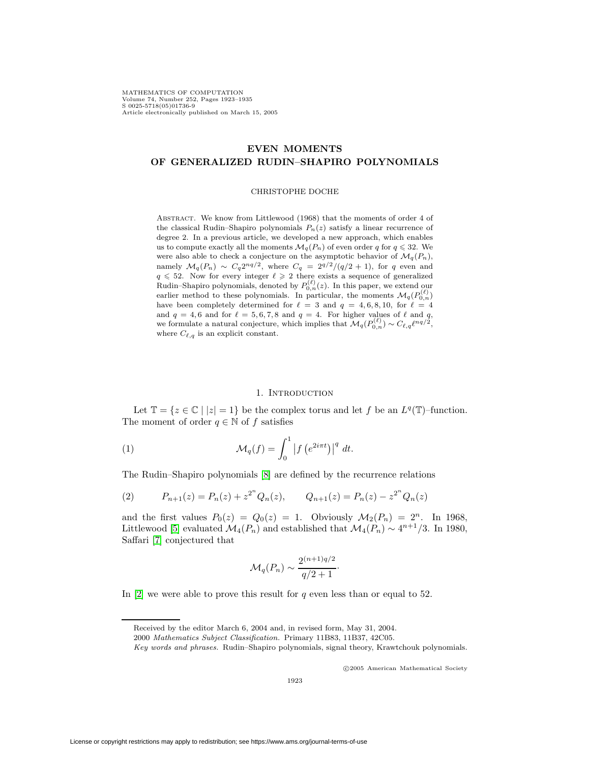MATHEMATICS OF COMPUTATION Volume 74, Number 252, Pages 1923–1935 S 0025-5718(05)01736-9 Article electronically published on March 15, 2005

# **EVEN MOMENTS OF GENERALIZED RUDIN–SHAPIRO POLYNOMIALS**

#### CHRISTOPHE DOCHE

ABSTRACT. We know from Littlewood (1968) that the moments of order 4 of the classical Rudin–Shapiro polynomials  $P_n(z)$  satisfy a linear recurrence of degree 2. In a previous article, we developed a new approach, which enables us to compute exactly all the moments  $\mathcal{M}_q(P_n)$  of even order q for  $q \leq 32$ . We were also able to check a conjecture on the asymptotic behavior of  $\mathcal{M}_q(P_n)$ , namely  $\mathcal{M}_q(P_n) \sim C_q 2^{nq/2}$ , where  $C_q = 2^{q/2}/(q/2 + 1)$ , for q even and  $q \le 52$ . Now for every integer  $\ell \ge 2$  there exists a sequence of generalized Rudin–Shapiro polynomials, denoted by  $P_{0,n}^{(\ell)}(z)$ . In this paper, we extend our earlier method to these polynomials. In particular, the moments  $\mathcal{M}_q(P_{0,n}^{(\ell)})$ have been completely determined for  $\ell = 3$  and  $q = 4, 6, 8, 10$ , for  $\ell = 4$ and  $q = 4, 6$  and for  $\ell = 5, 6, 7, 8$  and  $q = 4$ . For higher values of  $\ell$  and q, we formulate a natural conjecture, which implies that  $\mathcal{M}_q(P_{0,n}^{(\ell)}) \sim C_{\ell,q} \ell^{nq/2},$ where  $C_{\ell,q}$  is an explicit constant.

#### <span id="page-0-0"></span>1. Introduction

Let  $\mathbb{T} = \{z \in \mathbb{C} \mid |z| = 1\}$  be the complex torus and let f be an  $L^q(\mathbb{T})$ -function. The moment of order  $q \in \mathbb{N}$  of f satisfies

(1) 
$$
\mathcal{M}_q(f) = \int_0^1 \left| f\left(e^{2i\pi t}\right) \right|^q dt.
$$

The Rudin–Shapiro polynomials [\[8\]](#page-12-0) are defined by the recurrence relations

(2) 
$$
P_{n+1}(z) = P_n(z) + z^{2^n} Q_n(z), \qquad Q_{n+1}(z) = P_n(z) - z^{2^n} Q_n(z)
$$

and the first values  $P_0(z) = Q_0(z) = 1$ . Obviously  $\mathcal{M}_2(P_n) = 2^n$ . In 1968, Littlewood [\[5\]](#page-12-1) evaluated  $\mathcal{M}_4(P_n)$  and established that  $\mathcal{M}_4(P_n) \sim 4^{n+1}/3$ . In 1980, Saffari [\[7\]](#page-12-2) conjectured that

$$
\mathcal{M}_q(P_n) \sim \frac{2^{(n+1)q/2}}{q/2+1}.
$$

In  $[2]$  we were able to prove this result for q even less than or equal to 52.

c 2005 American Mathematical Society

Received by the editor March 6, 2004 and, in revised form, May 31, 2004.

<sup>2000</sup> Mathematics Subject Classification. Primary 11B83, 11B37, 42C05.

Key words and phrases. Rudin–Shapiro polynomials, signal theory, Krawtchouk polynomials.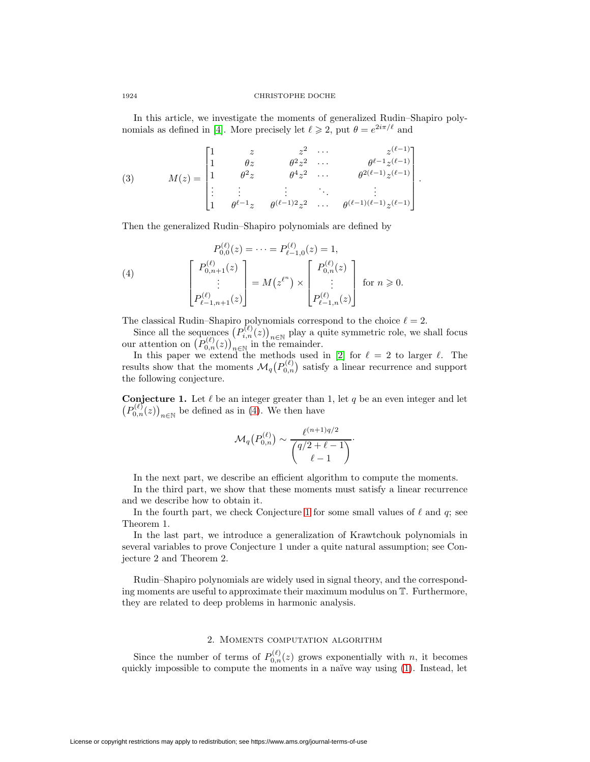### 1924 CHRISTOPHE DOCHE

In this article, we investigate the moments of generalized Rudin–Shapiro poly-nomials as defined in [\[4\]](#page-12-4). More precisely let  $\ell \geqslant 2$ , put  $\theta = e^{2i\pi/\ell}$  and

(3) 
$$
M(z) = \begin{bmatrix} 1 & z & z^2 & \cdots & z^{(\ell-1)} \\ 1 & \theta z & \theta^2 z^2 & \cdots & \theta^{\ell-1} z^{(\ell-1)} \\ 1 & \theta^2 z & \theta^4 z^2 & \cdots & \theta^{2(\ell-1)} z^{(\ell-1)} \\ \vdots & \vdots & \ddots & \vdots & \vdots \\ 1 & \theta^{\ell-1} z & \theta^{(\ell-1)2} z^2 & \cdots & \theta^{(\ell-1)(\ell-1)} z^{(\ell-1)} \end{bmatrix}.
$$

<span id="page-1-0"></span>Then the generalized Rudin–Shapiro polynomials are defined by

(4) 
$$
P_{0,0}^{(\ell)}(z) = \cdots = P_{\ell-1,0}^{(\ell)}(z) = 1,
$$

$$
\begin{bmatrix} P_{0,n+1}^{(\ell)}(z) \\ \vdots \\ P_{\ell-1,n+1}^{(\ell)}(z) \end{bmatrix} = M(z^{\ell^n}) \times \begin{bmatrix} P_{0,n}^{(\ell)}(z) \\ \vdots \\ P_{\ell-1,n}^{(\ell)}(z) \end{bmatrix} \text{ for } n \ge 0.
$$

The classical Rudin–Shapiro polynomials correspond to the choice  $\ell = 2$ .

Since all the sequences  $(P_{i,n}^{(\ell)}(z))_{n\in\mathbb{N}}$  play a quite symmetric role, we shall focus our attention on  $(P_{0,n}^{(\ell)}(z))_{n\in\mathbb{N}}$  in the remainder.<br>In this paper we extend the methods used in [\[2\]](#page-12-3) for  $\ell = 2$  to large

results show that the moments  $\mathcal{M}_q(P_{0,n}^{(\ell)})$  satisfy a linear recurrence and support the following conjecture.

<span id="page-1-1"></span>**Conjecture 1.** Let  $\ell$  be an integer greater than 1, let q be an even integer and let  $(P_{0,n}^{(\ell)}(z))_{n\in\mathbb{N}}$  be defined as in [\(4\)](#page-1-0). We then have

$$
\mathcal{M}_q(P_{0,n}^{(\ell)}) \sim \frac{\ell^{(n+1)q/2}}{\binom{q/2+\ell-1}{\ell-1}}.
$$

In the next part, we describe an efficient algorithm to compute the moments.

In the third part, we show that these moments must satisfy a linear recurrence and we describe how to obtain it.

In the fourth part, we check Conjecture [1](#page-1-1) for some small values of  $\ell$  and  $q$ ; see Theorem 1.

In the last part, we introduce a generalization of Krawtchouk polynomials in several variables to prove Conjecture 1 under a quite natural assumption; see Conjecture 2 and Theorem 2.

Rudin–Shapiro polynomials are widely used in signal theory, and the corresponding moments are useful to approximate their maximum modulus on T. Furthermore, they are related to deep problems in harmonic analysis.

## 2. Moments computation algorithm

Since the number of terms of  $P_{0,n}^{(\ell)}(z)$  grows exponentially with n, it becomes quickly impossible to compute the moments in a naïve way using [\(1\)](#page-0-0). Instead, let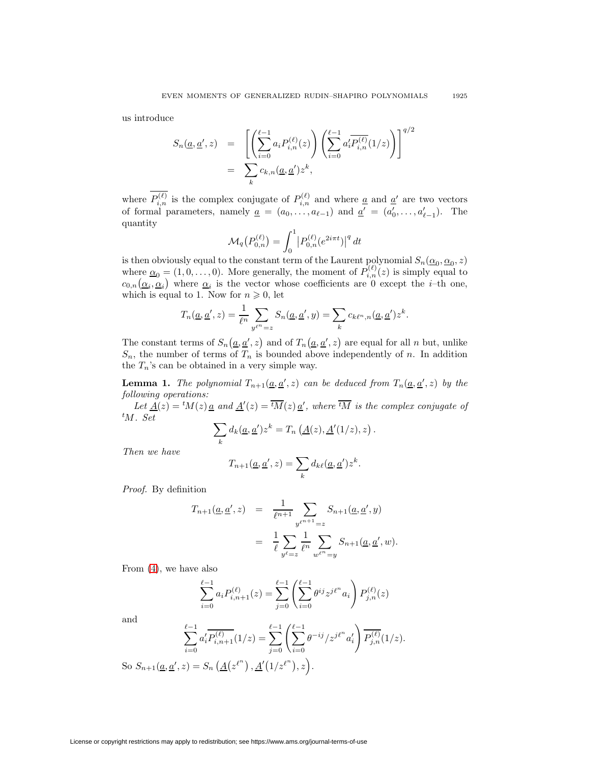us introduce

$$
S_n(\underline{a}, \underline{a}', z) = \left[ \left( \sum_{i=0}^{\ell-1} a_i P_{i,n}^{(\ell)}(z) \right) \left( \sum_{i=0}^{\ell-1} a_i' \overline{P_{i,n}^{(\ell)}}(1/z) \right) \right]^{q/2}
$$
  
= 
$$
\sum_k c_{k,n}(\underline{a}, \underline{a}') z^k,
$$

where  $P_{i,n}^{(\ell)}$  is the complex conjugate of  $P_{i,n}^{(\ell)}$  and where <u>a</u> and <u>a</u>' are two vectors of formal parameters, namely  $\underline{a} = (a_0, \ldots, a_{\ell-1})$  and  $\underline{a}' = (a'_0, \ldots, a'_{\ell-1})$ . The quantity

$$
\mathcal{M}_q(P_{0,n}^{(\ell)}) = \int_0^1 |P_{0,n}^{(\ell)}(e^{2i\pi t})|^q dt
$$

is then obviously equal to the constant term of the Laurent polynomial  $S_n(\underline{\alpha}_0, \underline{\alpha}_0, z)$ where  $\underline{\alpha}_0 = (1, 0, \ldots, 0)$ . More generally, the moment of  $P_{i,n}^{(\ell)}(z)$  is simply equal to  $c_{0,n}(\underline{\alpha}_i, \underline{\alpha}_i)$  where  $\underline{\alpha}_i$  is the vector whose coefficients are 0 except the *i*-th one, which is equal to 1. Now for  $n \geqslant 0$ , let

$$
T_n(\underline{a}, \underline{a}', z) = \frac{1}{\ell^n} \sum_{y^{\ell^n} = z} S_n(\underline{a}, \underline{a}', y) = \sum_k c_{k\ell^n, n}(\underline{a}, \underline{a}') z^k.
$$

The constant terms of  $S_n(\underline{a}, \underline{a}', z)$  and of  $T_n(\underline{a}, \underline{a}', z)$  are equal for all n but, unlike  $S_n$ , the number of terms of  $T_n$  is bounded above independently of n. In addition the  $T_n$ 's can be obtained in a very simple way.

<span id="page-2-0"></span>**Lemma 1.** The polynomial  $T_{n+1}(\underline{a}, \underline{a}', z)$  can be deduced from  $T_n(\underline{a}, \underline{a}', z)$  by the following operations:

Let  $\underline{A}(z) = {}^t M(z) \underline{a}$  and  $\underline{A}'(z) = \overline{{}^t M}(z) \underline{a}'$ , where  $\overline{{}^t M}$  is the complex conjugate of  $^tM$ . Set

$$
\sum_{k} d_k(\underline{a}, \underline{a}') z^k = T_n(\underline{A}(z), \underline{A}'(1/z), z).
$$

Then we have

$$
T_{n+1}(\underline{a},\underline{a}',z) = \sum_{k} d_{k\ell}(\underline{a},\underline{a}')z^{k}.
$$

Proof. By definition

$$
T_{n+1}(\underline{a}, \underline{a}', z) = \frac{1}{\ell^{n+1}} \sum_{y^{\ell^{n+1}} = z} S_{n+1}(\underline{a}, \underline{a}', y)
$$
  
= 
$$
\frac{1}{\ell} \sum_{y^{\ell} = z} \frac{1}{\ell^n} \sum_{w^{\ell^n} = y} S_{n+1}(\underline{a}, \underline{a}', w).
$$

From [\(4\)](#page-1-0), we have also

$$
\sum_{i=0}^{\ell-1} a_i P_{i,n+1}^{(\ell)}(z) = \sum_{j=0}^{\ell-1} \left( \sum_{i=0}^{\ell-1} \theta^{ij} z^{j\ell^n} a_i \right) P_{j,n}^{(\ell)}(z)
$$

and

$$
\sum_{i=0}^{\ell-1} a'_i \overline{P_{i,n+1}^{(\ell)}}(1/z) = \sum_{j=0}^{\ell-1} \left( \sum_{i=0}^{\ell-1} \theta^{-ij} / z^{j\ell^n} a'_i \right) \overline{P_{j,n}^{(\ell)}}(1/z).
$$
  
So  $S_{n+1}(\underline{a}, \underline{a}', z) = S_n \left( \underline{A}(z^{\ell^n}), \underline{A}'(1/z^{\ell^n}), z \right).$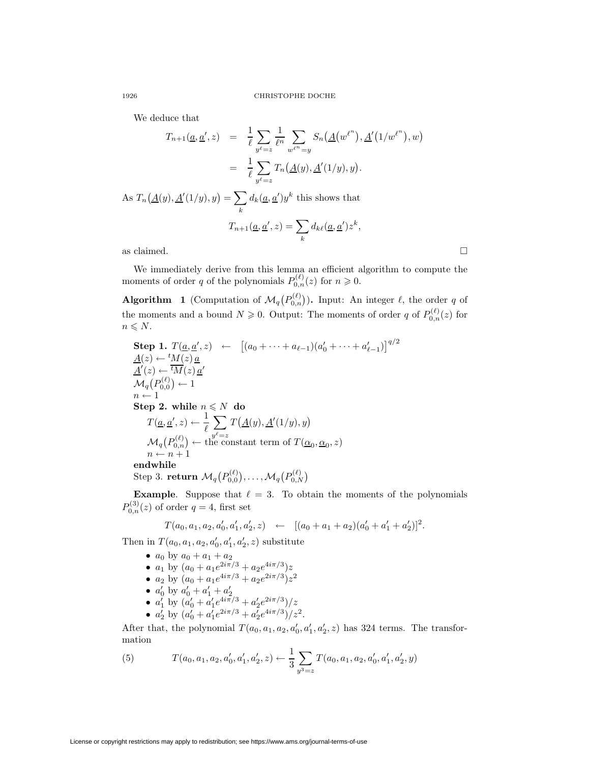We deduce that

$$
T_{n+1}(\underline{a}, \underline{a}', z) = \frac{1}{\ell} \sum_{y^{\ell} = z} \frac{1}{\ell^n} \sum_{w^{\ell^n} = y} S_n(\underline{A}(w^{\ell^n}), \underline{A}'(1/w^{\ell^n}), w)
$$
  
\n
$$
= \frac{1}{\ell} \sum_{y^{\ell} = z} T_n(\underline{A}(y), \underline{A}'(1/y), y).
$$
  
\nAs  $T_n(\underline{A}(y), \underline{A}'(1/y), y) = \sum_k d_k(\underline{a}, \underline{a}')y^k$  this shows that  
\n
$$
T_{n+1}(\underline{a}, \underline{a}', z) = \sum_k d_{k\ell}(\underline{a}, \underline{a}')z^k,
$$
  
\nas claimed.

We immediately derive from this lemma an efficient algorithm to compute the moments of order q of the polynomials  $P_{0,n}^{(\ell)}(z)$  for  $n \geq 0$ .

<span id="page-3-1"></span>**Algorithm** 1 (Computation of  $\mathcal{M}_q(P_{0,n}^{(\ell)})$ ). Input: An integer  $\ell$ , the order q of the moments and a bound  $N \geqslant 0$ . Output: The moments of order q of  $P_{0,n}^{(\ell)}(z)$  for  $n \leqslant N$ .

Step 1. 
$$
T(\underline{a}, \underline{a}', z) \leftarrow [ (a_0 + \cdots + a_{\ell-1}) (a'_0 + \cdots + a'_{\ell-1}) ]^{q/2}
$$
  
\n
$$
\underline{A}(z) \leftarrow {}^t M(z) \underline{a}'
$$
  
\n
$$
\underline{A}'(z) \leftarrow {}^t \overline{M}(z) \underline{a}'
$$
  
\n
$$
\mathcal{M}_q(P_{0,0}^{(\ell)}) \leftarrow 1
$$
  
\nStep 2. while  $n \le N$  do  
\n
$$
T(\underline{a}, \underline{a}', z) \leftarrow \frac{1}{\ell} \sum_{y^{\ell}=z} T(\underline{A}(y), \underline{A}'(1/y), y)
$$
  
\n
$$
\mathcal{M}_q(P_{0,n}^{(\ell)}) \leftarrow
$$
 the constant term of  $T(\underline{\alpha}_0, \underline{\alpha}_0, z)$   
\n $n \leftarrow n+1$   
\nendwhile  
\nStep 3. return  $\mathcal{M}_q(P_{0,0}^{(\ell)}), \ldots, \mathcal{M}_q(P_{0,N}^{(\ell)})$ 

**Example.** Suppose that  $\ell = 3$ . To obtain the moments of the polynomials  $P_{0,n}^{(3)}(z)$  of order  $q=4$ , first set

$$
T(a_0, a_1, a_2, a'_0, a'_1, a'_2, z) \leftarrow [(a_0 + a_1 + a_2)(a'_0 + a'_1 + a'_2)]^2.
$$

Then in  $T(a_0, a_1, a_2, a'_0, a'_1, a'_2, z)$  substitute

- $a_0$  by  $a_0 + a_1 + a_2$
- $a_1$  by  $(a_0 + a_1e^{2i\pi/3} + a_2e^{4i\pi/3})z$
- $a_2$  by  $(a_0 + a_1e^{4i\pi/3} + a_2e^{2i\pi/3})z^2$
- 
- $a'_0$  by  $a'_0 + a'_1 + a'_2$ <br>•  $a'_1$  by  $(a'_0 + a'_1 e^{4i\pi/3} + a'_2 e^{2i\pi/3})/z$
- $a'_2$  by  $(a'_0 + a'_1 e^{2i\pi/3} + a'_2 e^{4i\pi/3})/z^2$ .

<span id="page-3-0"></span>After that, the polynomial  $T(a_0, a_1, a_2, a'_0, a'_1, a'_2, z)$  has 324 terms. The transformation

(5) 
$$
T(a_0, a_1, a_2, a'_0, a'_1, a'_2, z) \leftarrow \frac{1}{3} \sum_{y^3 = z} T(a_0, a_1, a_2, a'_0, a'_1, a'_2, y)
$$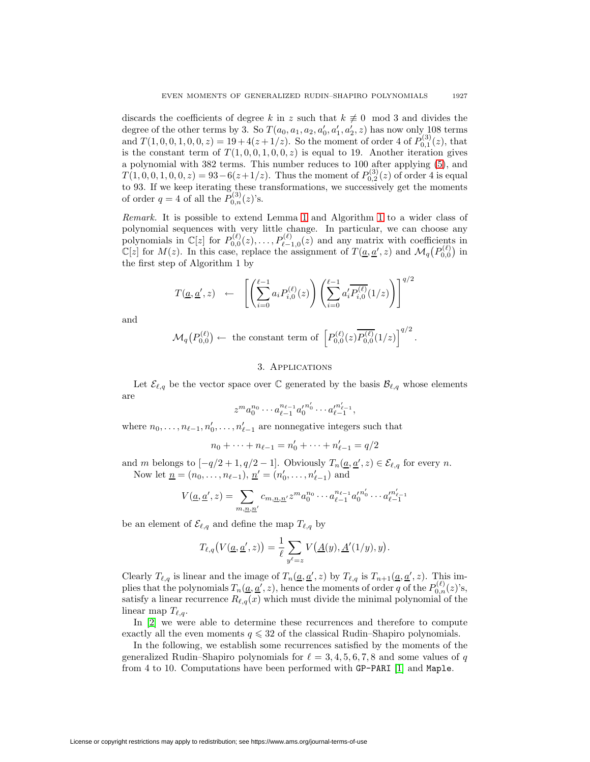discards the coefficients of degree k in z such that  $k \neq 0 \mod 3$  and divides the degree of the other terms by 3. So  $T(a_0, a_1, a_2, a'_0, a'_1, a'_2, z)$  has now only 108 terms and  $T(1, 0, 0, 1, 0, 0, z) = 19 + 4(z + 1/z)$ . So the moment of order 4 of  $P_{0,1}^{(3)}(z)$ , that is the constant term of  $T(1, 0, 0, 1, 0, 0, z)$  is equal to 19. Another iteration gives a polynomial with 382 terms. This number reduces to 100 after applying [\(5\)](#page-3-0), and  $T(1,0,0,1,0,0,z) = 93-6(z+1/z)$ . Thus the moment of  $P_{0,2}^{(3)}(z)$  of order 4 is equal to 93. If we keep iterating these transformations, we successively get the moments of order  $q = 4$  of all the  $P_{0,n}^{(3)}(z)$ 's.

Remark. It is possible to extend Lemma [1](#page-2-0) and Algorithm [1](#page-3-1) to a wider class of polynomial sequences with very little change. In particular, we can choose any polynomials in  $\mathbb{C}[z]$  for  $P_{0,0}^{(\ell)}(z), \ldots, P_{\ell-1}^{(\ell)}$  $\ell_{\ell-1,0}(z)$  and any matrix with coefficients in  $\mathbb{C}[z]$  for  $M(z)$ . In this case, replace the assignment of  $T(\underline{a}, \underline{a}', z)$  and  $\mathcal{M}_q(P_{0,0}^{(\ell)})$  in the first step of Algorithm 1 by

$$
T(\underline{a}, \underline{a}', z) \leftarrow \left[ \left( \sum_{i=0}^{\ell-1} a_i P_{i,0}^{(\ell)}(z) \right) \left( \sum_{i=0}^{\ell-1} a'_i \overline{P_{i,0}^{(\ell)}}(1/z) \right) \right]^{q/2}
$$

and

$$
\mathcal{M}_q(P_{0,0}^{(\ell)}) \leftarrow \text{ the constant term of } \left[ P_{0,0}^{(\ell)}(z) \overline{P_{0,0}^{(\ell)}}(1/z) \right]^{q/2}
$$

.

## 3. Applications

Let  $\mathcal{E}_{\ell,q}$  be the vector space over  $\mathbb C$  generated by the basis  $\mathcal{B}_{\ell,q}$  whose elements are

$$
z^m a_0^{n_0} \cdots a_{\ell-1}^{n_{\ell-1}} {a'_0}^{n'_0} \cdots {a'}_{\ell-1}^{n'_{\ell-1}},
$$

where  $n_0, \ldots, n_{\ell-1}, n'_0, \ldots, n'_{\ell-1}$  are nonnegative integers such that

$$
n_0 + \dots + n_{\ell-1} = n'_0 + \dots + n'_{\ell-1} = q/2
$$

and m belongs to  $[-q/2+1, q/2-1]$ . Obviously  $T_n(\underline{a}, \underline{a}', z) \in \mathcal{E}_{\ell,q}$  for every n. Now let  $\underline{n} = (n_0, \ldots, n_{\ell-1}), \underline{n}' = (n'_0, \ldots, n'_{\ell-1})$  and

$$
V(\underline{a}, \underline{a}', z) = \sum_{m, \underline{n}, \underline{n}'} c_{m, \underline{n}, \underline{n}'} z^m a_0^{n_0} \cdots a_{\ell-1}^{n_{\ell-1}} a_0'^{n_0'} \cdots a_{\ell-1}^{n_{\ell-1}'}
$$

be an element of  $\mathcal{E}_{\ell,q}$  and define the map  $T_{\ell,q}$  by

$$
T_{\ell,q}(V(\underline{a},\underline{a}',z)) = \frac{1}{\ell} \sum_{y^{\ell}=z} V(\underline{A}(y),\underline{A}'(1/y),y).
$$

Clearly  $T_{\ell,q}$  is linear and the image of  $T_n(\underline{a}, \underline{a}', z)$  by  $T_{\ell,q}$  is  $T_{n+1}(\underline{a}, \underline{a}', z)$ . This implies that the polynomials  $T_n(\underline{a}, \underline{a}', z)$ , hence the moments of order q of the  $P_{0,n}^{(\ell)}(z)$ 's, satisfy a linear recurrence  $R_{\ell,q}(x)$  which must divide the minimal polynomial of the linear map  $T_{\ell,q}$ .

In [\[2\]](#page-12-3) we were able to determine these recurrences and therefore to compute exactly all the even moments  $q \leq 32$  of the classical Rudin–Shapiro polynomials.

In the following, we establish some recurrences satisfied by the moments of the generalized Rudin–Shapiro polynomials for  $\ell = 3, 4, 5, 6, 7, 8$  and some values of q from 4 to 10. Computations have been performed with GP-PARI [\[1\]](#page-12-5) and Maple.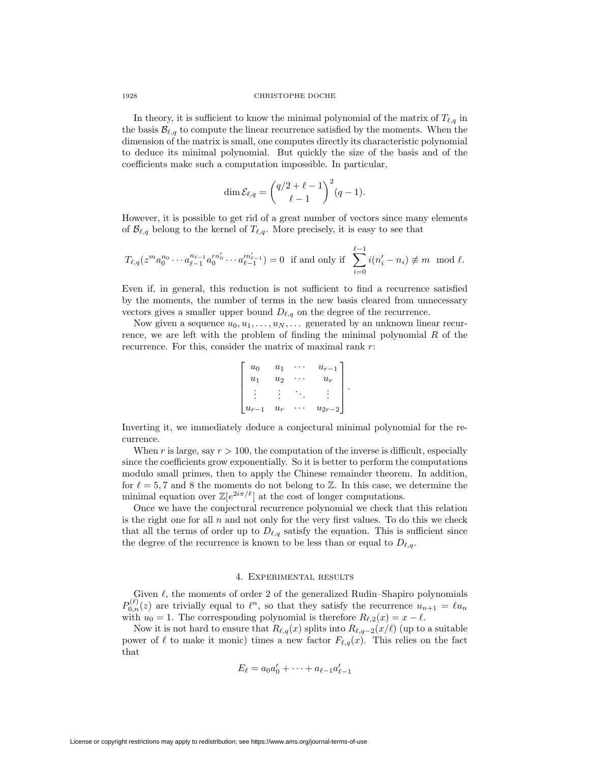#### 1928 CHRISTOPHE DOCHE

In theory, it is sufficient to know the minimal polynomial of the matrix of  $T_{\ell,q}$  in the basis  $\mathcal{B}_{\ell,q}$  to compute the linear recurrence satisfied by the moments. When the dimension of the matrix is small, one computes directly its characteristic polynomial to deduce its minimal polynomial. But quickly the size of the basis and of the coefficients make such a computation impossible. In particular,

$$
\dim \mathcal{E}_{\ell,q} = \binom{q/2+\ell-1}{\ell-1}^2(q-1).
$$

However, it is possible to get rid of a great number of vectors since many elements of  $\mathcal{B}_{\ell,q}$  belong to the kernel of  $T_{\ell,q}$ . More precisely, it is easy to see that

$$
T_{\ell,q}(z^m a_0^{n_0} \cdots a_{\ell-1}^{n_{\ell-1}} a_0'^{n_0'} \cdots a_{\ell-1}'^{n_{\ell-1}'} ) = 0 \text{ if and only if } \sum_{i=0}^{\ell-1} i(n_i' - n_i) \not\equiv m \mod \ell.
$$

Even if, in general, this reduction is not sufficient to find a recurrence satisfied by the moments, the number of terms in the new basis cleared from unnecessary vectors gives a smaller upper bound  $D_{\ell,q}$  on the degree of the recurrence.

Now given a sequence  $u_0, u_1, \ldots, u_N, \ldots$  generated by an unknown linear recurrence, we are left with the problem of finding the minimal polynomial  $R$  of the recurrence. For this, consider the matrix of maximal rank  $r$ :

$$
\begin{bmatrix} u_0 & u_1 & \cdots & u_{r-1} \\ u_1 & u_2 & \cdots & u_r \\ \vdots & \vdots & \ddots & \vdots \\ u_{r-1} & u_r & \cdots & u_{2r-2} \end{bmatrix}.
$$

Inverting it, we immediately deduce a conjectural minimal polynomial for the recurrence.

When r is large, say  $r > 100$ , the computation of the inverse is difficult, especially since the coefficients grow exponentially. So it is better to perform the computations modulo small primes, then to apply the Chinese remainder theorem. In addition, for  $\ell = 5, 7$  and 8 the moments do not belong to Z. In this case, we determine the minimal equation over  $\mathbb{Z}[e^{2i\pi/\ell}]$  at the cost of longer computations.

Once we have the conjectural recurrence polynomial we check that this relation is the right one for all  $n$  and not only for the very first values. To do this we check that all the terms of order up to  $D_{\ell,q}$  satisfy the equation. This is sufficient since the degree of the recurrence is known to be less than or equal to  $D_{\ell,q}$ .

## 4. Experimental results

Given  $\ell$ , the moments of order 2 of the generalized Rudin–Shapiro polynomials  $P_{0,n}^{(\ell)}(z)$  are trivially equal to  $\ell^n$ , so that they satisfy the recurrence  $u_{n+1} = \ell u_n$ with  $u_0 = 1$ . The corresponding polynomial is therefore  $R_{\ell,2}(x) = x - \ell$ .

Now it is not hard to ensure that  $R_{\ell,q}(x)$  splits into  $R_{\ell,q-2}(x/\ell)$  (up to a suitable power of  $\ell$  to make it monic) times a new factor  $F_{\ell,q}(x)$ . This relies on the fact that

$$
E_{\ell} = a_0 a'_0 + \dots + a_{\ell-1} a'_{\ell-1}
$$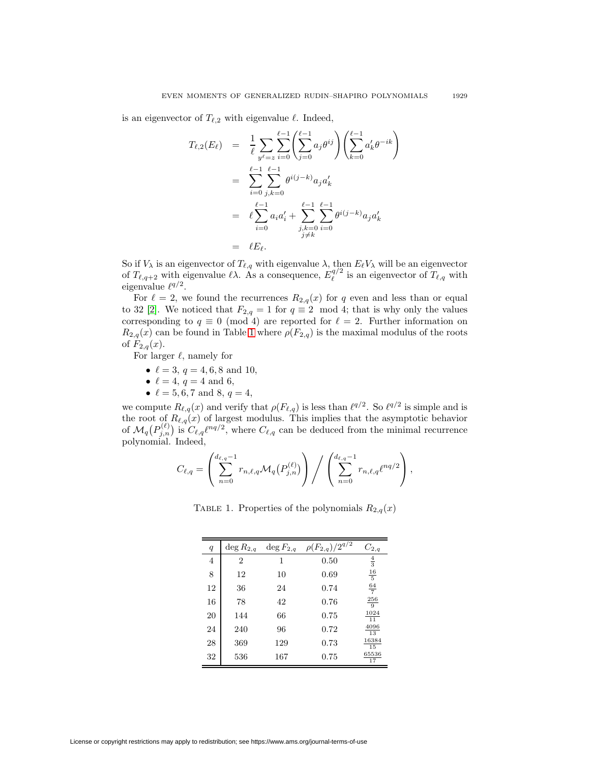is an eigenvector of  $T_{\ell,2}$  with eigenvalue  $\ell$ . Indeed,

$$
T_{\ell,2}(E_{\ell}) = \frac{1}{\ell} \sum_{y^{\ell}=z} \sum_{i=0}^{\ell-1} \left( \sum_{j=0}^{\ell-1} a_j \theta^{ij} \right) \left( \sum_{k=0}^{\ell-1} a'_k \theta^{-ik} \right)
$$
  
\n
$$
= \sum_{i=0}^{\ell-1} \sum_{j,k=0}^{\ell-1} \theta^{i(j-k)} a_j a'_k
$$
  
\n
$$
= \ell \sum_{i=0}^{\ell-1} a_i a'_i + \sum_{\substack{j,k=0 \ j \neq k}}^{\ell-1} \sum_{i=0}^{\ell-1} \theta^{i(j-k)} a_j a'_k
$$
  
\n
$$
= \ell E_{\ell}.
$$

So if  $V_\lambda$  is an eigenvector of  $T_{\ell,q}$  with eigenvalue  $\lambda$ , then  $E_{\ell}V_{\lambda}$  will be an eigenvector of  $T_{\ell,q+2}$  with eigenvalue  $\ell\lambda$ . As a consequence,  $E_{\ell}^{q/2}$  is an eigenvector of  $T_{\ell,q}$  with eigenvalue  $\ell^{q/2}$ .

For  $\ell = 2$ , we found the recurrences  $R_{2,q}(x)$  for q even and less than or equal to 32 [\[2\]](#page-12-3). We noticed that  $F_{2,q} = 1$  for  $q \equiv 2 \mod 4$ ; that is why only the values corresponding to  $q \equiv 0 \pmod{4}$  are reported for  $\ell = 2$ . Further information on  $R_{2,q}(x)$  can be found in Table [1](#page-6-0) where  $\rho(F_{2,q})$  is the maximal modulus of the roots of  $F_{2,q}(x)$ .

For larger  $\ell$ , namely for

- $\ell = 3, q = 4, 6, 8$  and 10,
- $\ell = 4, q = 4 \text{ and } 6,$
- $\ell = 5, 6, 7$  and 8,  $q = 4$ ,

we compute  $R_{\ell,q}(x)$  and verify that  $\rho(F_{\ell,q})$  is less than  $\ell^{q/2}$ . So  $\ell^{q/2}$  is simple and is the root of  $R_{\ell,q}(x)$  of largest modulus. This implies that the asymptotic behavior of  $\mathcal{M}_q(P_{j,n}^{(\ell)})$  is  $C_{\ell,q}\ell^{nq/2}$ , where  $C_{\ell,q}$  can be deduced from the minimal recurrence polynomial. Indeed,

$$
C_{\ell,q} = \left( \sum_{n=0}^{d_{\ell,q}-1} r_{n,\ell,q} \mathcal{M}_q(P_{j,n}^{(\ell)}) \right) / \left( \sum_{n=0}^{d_{\ell,q}-1} r_{n,\ell,q} \ell^{nq/2} \right),
$$

<span id="page-6-0"></span>TABLE 1. Properties of the polynomials  $R_{2,q}(x)$ 

| $\boldsymbol{q}$ | $\deg R_{2,q}$ | $\deg F_{2,q}$ | $\rho(F_{2,q})/2^{q/2}$ | $C_{2,q}$               |
|------------------|----------------|----------------|-------------------------|-------------------------|
| $\overline{4}$   | $\overline{2}$ | 1              | 0.50                    | $\frac{4}{3}$           |
| 8                | 12             | 10             | 0.69                    | $\frac{16}{5}$          |
| 12               | 36             | 24             | 0.74                    | $\frac{64}{7}$          |
| 16               | 78             | 42             | 0.76                    | $\frac{256}{9}$         |
| 20               | 144            | 66             | 0.75                    | 1024<br>$\overline{11}$ |
| 24               | 240            | 96             | 0.72                    | 4096<br>13              |
| 28               | 369            | 129            | 0.73                    | 16384<br>15             |
| 32               | 536            | 167            | 0.75                    | 65536<br>17             |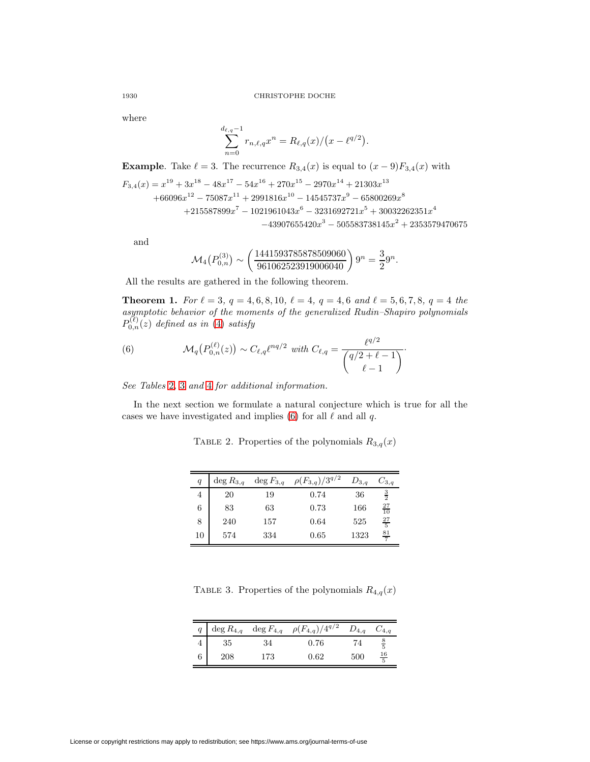where

$$
\sum_{n=0}^{d_{\ell,q}-1} r_{n,\ell,q} x^n = R_{\ell,q}(x) / (x - \ell^{q/2}).
$$

**Example**. Take  $\ell = 3$ . The recurrence  $R_{3,4}(x)$  is equal to  $(x - 9)F_{3,4}(x)$  with  $F_{3,4}(x) = x^{19} + 3x^{18} - 48x^{17} - 54x^{16} + 270x^{15} - 2970x^{14} + 21303x^{13}$  $+66096x^{12} - 75087x^{11} + 2991816x^{10} - 14545737x^9 - 65800269x^8$  $+215587899x^7 - 1021961043x^6 - 3231692721x^5 + 30032262351x^4$  $-43907655420x^3 - 505583738145x^2 + 2353579470675$ 

and

<span id="page-7-2"></span>
$$
\mathcal{M}_4(P_{0,n}^{(3)}) \sim \left(\frac{1441593785878509060}{961062523919006040}\right)9^n = \frac{3}{2}9^n.
$$

All the results are gathered in the following theorem.

**Theorem 1.** For  $\ell = 3$ ,  $q = 4, 6, 8, 10$ ,  $\ell = 4$ ,  $q = 4, 6$  and  $\ell = 5, 6, 7, 8$ ,  $q = 4$  the asymptotic behavior of the moments of the generalized Rudin–Shapiro polynomials  $P_{0,n}^{(\ell)}(z)$  defined as in [\(4\)](#page-1-0) satisfy

(6) 
$$
\mathcal{M}_q(P_{0,n}^{(\ell)}(z)) \sim C_{\ell,q} \ell^{nq/2} \text{ with } C_{\ell,q} = \frac{\ell^{q/2}}{\binom{q/2+\ell-1}{\ell-1}}.
$$

See Tables [2](#page-7-0), [3](#page-7-1) and [4](#page-8-0) for additional information.

In the next section we formulate a natural conjecture which is true for all the cases we have investigated and implies [\(6\)](#page-7-2) for all  $\ell$  and all  $q$ .

<span id="page-7-0"></span>TABLE 2. Properties of the polynomials  $R_{3,q}(x)$ 

| q  | $\deg R_{3,q}$ | $\deg F_{3,q}$ | $\rho(F_{3,q})/3^{q/2}$ | $D_{3,q}$ | $C_{3,q}$       |
|----|----------------|----------------|-------------------------|-----------|-----------------|
| 4  | 20             | 19             | 0.74                    | 36        | $\frac{3}{2}$   |
| 6  | 83             | 63             | 0.73                    | 166       | $\frac{27}{10}$ |
| 8  | 240            | 157            | 0.64                    | 525       | $\frac{27}{5}$  |
| 10 | 574            | 334            | 0.65                    | 1323      | $\frac{81}{7}$  |

<span id="page-7-1"></span>TABLE 3. Properties of the polynomials  $R_{4,q}(x)$ 

|   | $\deg R_{4,q}$ |     | $\deg F_{4,q}$ $\rho(F_{4,q})/4^{q/2}$ | $D_{4,q}$ | $C_{4,q}$      |
|---|----------------|-----|----------------------------------------|-----------|----------------|
|   | 35             | 34  | 0.76                                   |           | $\frac{8}{5}$  |
| 6 | 208            | 173 | 0.62                                   | 500       | $\frac{16}{5}$ |

License or copyright restrictions may apply to redistribution; see https://www.ams.org/journal-terms-of-use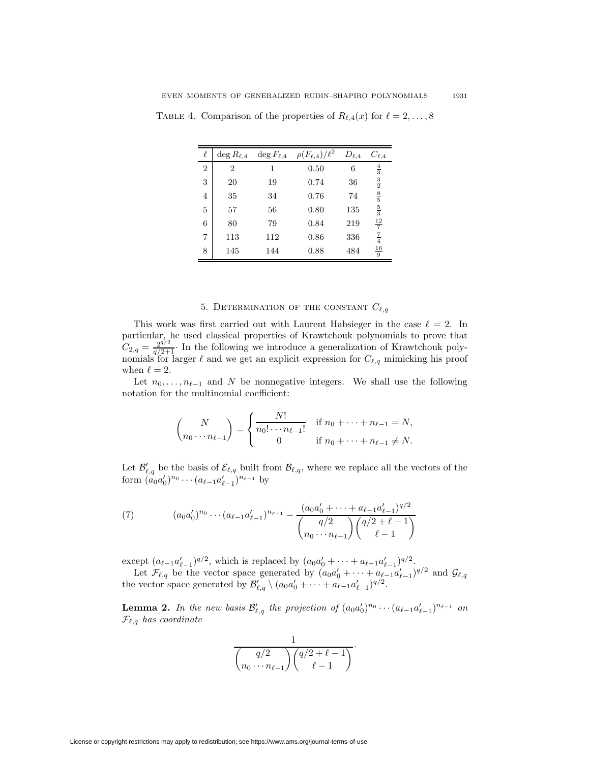|                | $\deg R_{\ell,4}$ | $\deg F_{\ell,4}$ | $\rho(F_{\ell,4})/\ell^2$ | $D_{\ell,4}$ | $C_{\ell,4}$                  |
|----------------|-------------------|-------------------|---------------------------|--------------|-------------------------------|
| $\overline{2}$ | 2                 | 1                 | 0.50                      | 6            | $\frac{4}{3}$                 |
| 3              | 20                | 19                | 0.74                      | 36           | $\frac{3}{2}$                 |
| $\overline{4}$ | 35                | 34                | 0.76                      | 74           | $\frac{8}{5}$ s $\frac{5}{3}$ |
| 5              | 57                | 56                | 0.80                      | 135          |                               |
| 6              | 80                | 79                | 0.84                      | 219          | $\frac{12}{7}$                |
| $\overline{7}$ | 113               | 112               | 0.86                      | 336          | $\frac{7}{4}$                 |
| 8              | 145               | 144               | 0.88                      | 484          | $\frac{16}{9}$                |

<span id="page-8-0"></span>TABLE 4. Comparison of the properties of  $R_{\ell,4}(x)$  for  $\ell = 2,\ldots,8$ 

# 5. DETERMINATION OF THE CONSTANT  $C_{\ell,q}$

This work was first carried out with Laurent Habsieger in the case  $\ell = 2$ . In particular, he used classical properties of Krawtchouk polynomials to prove that  $C_{2,q} = \frac{2^{q/2}}{q/2+1}$ . In the following we introduce a generalization of Krawtchouk polynomials for larger  $\ell$  and we get an explicit expression for  $C_{\ell,q}$  mimicking his proof when  $\ell = 2$ .

Let  $n_0, \ldots, n_{\ell-1}$  and N be nonnegative integers. We shall use the following notation for the multinomial coefficient:

<span id="page-8-2"></span>
$$
\binom{N}{n_0 \cdots n_{\ell-1}} = \begin{cases} \frac{N!}{n_0! \cdots n_{\ell-1}!} & \text{if } n_0 + \cdots + n_{\ell-1} = N, \\ 0 & \text{if } n_0 + \cdots + n_{\ell-1} \neq N. \end{cases}
$$

Let  $\mathcal{B}'_{\ell,q}$  be the basis of  $\mathcal{E}_{\ell,q}$  built from  $\mathcal{B}_{\ell,q}$ , where we replace all the vectors of the form  $(a_0a'_0)^{n_0}\cdots(a_{\ell-1}a'_{\ell-1})^{n_{\ell-1}}$  by

(7) 
$$
(a_0 a'_0)^{n_0} \cdots (a_{\ell-1} a'_{\ell-1})^{n_{\ell-1}} - \frac{(a_0 a'_0 + \cdots + a_{\ell-1} a'_{\ell-1})^{q/2}}{\binom{q/2}{n_0 \cdots n_{\ell-1}} \binom{q/2 + \ell - 1}{\ell - 1}}
$$

except  $(a_{\ell-1}a'_{\ell-1})^{q/2}$ , which is replaced by  $(a_0a'_0 + \cdots + a_{\ell-1}a'_{\ell-1})^{q/2}$ .

<span id="page-8-1"></span>Let  $\mathcal{F}_{\ell,q}$  be the vector space generated by  $(a_0a'_0 + \cdots + a_{\ell-1}a'_{\ell-1})^{q/2}$  and  $\mathcal{G}_{\ell,q}$ the vector space generated by  $\mathcal{B}'_{\ell,q} \setminus (a_0 a'_0 + \cdots + a_{\ell-1} a'_{\ell-1})^{q/2}$ .

**Lemma 2.** In the new basis  $\mathcal{B}'_{\ell,q}$  the projection of  $(a_0a'_0)^{n_0} \cdots (a_{\ell-1}a'_{\ell-1})^{n_{\ell-1}}$  on  $\mathcal{F}_{\ell,q}$  has coordinate

$$
\frac{1}{\binom{q/2}{n_0\cdots n_{\ell-1}}\binom{q/2+\ell-1}{\ell-1}}.
$$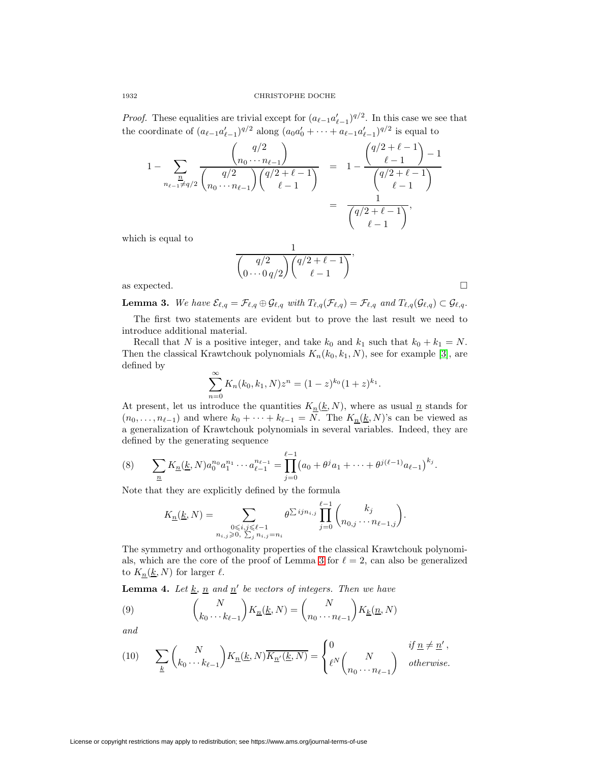*Proof.* These equalities are trivial except for  $(a_{\ell-1}a_{\ell-1}')^{q/2}$ . In this case we see that the coordinate of  $(a_{\ell-1}a'_{\ell-1})^{q/2}$  along  $(a_0a'_0 + \cdots + a_{\ell-1}a'_{\ell-1})^{q/2}$  is equal to

$$
1 - \sum_{\substack{n \\ n_{\ell-1} \neq q/2}} \frac{{\binom{q/2}{n_0 \cdots n_{\ell-1}}}{{\binom{q/2}{\ell-1}} {\binom{q/2+\ell-1}{\ell-1}}} = 1 - \frac{{\binom{q/2+\ell-1}{\ell-1}} - 1}{\binom{q/2+\ell-1}{\ell-1}} = \frac{1}{\binom{q/2+\ell-1}{\ell-1}},
$$

which is equal to

$$
\frac{1}{\binom{q/2}{0\cdots 0q/2}\binom{q/2+\ell-1}{\ell-1}},
$$
 as expected.

<span id="page-9-0"></span>

**Lemma 3.** We have  $\mathcal{E}_{\ell,q} = \mathcal{F}_{\ell,q} \oplus \mathcal{G}_{\ell,q}$  with  $T_{\ell,q}(\mathcal{F}_{\ell,q}) = \mathcal{F}_{\ell,q}$  and  $T_{\ell,q}(\mathcal{G}_{\ell,q}) \subset \mathcal{G}_{\ell,q}$ .

The first two statements are evident but to prove the last result we need to introduce additional material.

Recall that N is a positive integer, and take  $k_0$  and  $k_1$  such that  $k_0 + k_1 = N$ . Then the classical Krawtchouk polynomials  $K_n(k_0, k_1, N)$ , see for example [\[3\]](#page-12-6), are defined by

<span id="page-9-2"></span>
$$
\sum_{n=0}^{\infty} K_n(k_0, k_1, N) z^n = (1-z)^{k_0} (1+z)^{k_1}.
$$

At present, let us introduce the quantities  $K_n(\underline{k}, N)$ , where as usual  $\underline{n}$  stands for  $(n_0, \ldots, n_{\ell-1})$  and where  $k_0 + \cdots + k_{\ell-1} = N$ . The  $K_{\underline{n}}(\underline{k}, N)$ 's can be viewed as a generalization of Krawtchouk polynomials in several variables. Indeed, they are defined by the generating sequence

(8) 
$$
\sum_{\underline{n}} K_{\underline{n}}(\underline{k}, N) a_0^{n_0} a_1^{n_1} \cdots a_{\ell-1}^{n_{\ell-1}} = \prod_{j=0}^{\ell-1} (a_0 + \theta^j a_1 + \cdots + \theta^{j(\ell-1)} a_{\ell-1})^{k_j}.
$$

Note that they are explicitly defined by the formula

$$
K_{\underline{n}}(\underline{k}, N) = \sum_{\substack{0 \le i,j \le \ell-1 \\ n_{i,j} \ge 0, \ \sum_{j} n_{i,j} = n_i}} \theta^{\sum i j n_{i,j}} \prod_{j=0}^{\ell-1} {k_j \choose n_{0,j} \cdots n_{\ell-1,j}}.
$$

The symmetry and orthogonality properties of the classical Krawtchouk polynomi-als, which are the core of the proof of Lemma [3](#page-9-0) for  $\ell = 2$ , can also be generalized to  $K_n(\underline{k}, N)$  for larger  $\ell$ .

<span id="page-9-1"></span>-

**Lemma 4.** Let  $\underline{k}, \underline{n}$  and  $\underline{n}'$  be vectors of integers. Then we have

(9) 
$$
\binom{N}{k_0 \cdots k_{\ell-1}} K_{\underline{n}}(\underline{k}, N) = \binom{N}{n_0 \cdots n_{\ell-1}} K_{\underline{k}}(\underline{n}, N)
$$

<span id="page-9-3"></span>and

(10) 
$$
\sum_{\underline{k}} \binom{N}{k_0 \cdots k_{\ell-1}} K_{\underline{n}}(\underline{k}, N) \overline{K_{\underline{n}'}(\underline{k}, N)} = \begin{cases} 0 & \text{if } \underline{n} \neq \underline{n}' \,, \\ \ell^N \binom{N}{n_0 \cdots n_{\ell-1}} & \text{otherwise.} \end{cases}
$$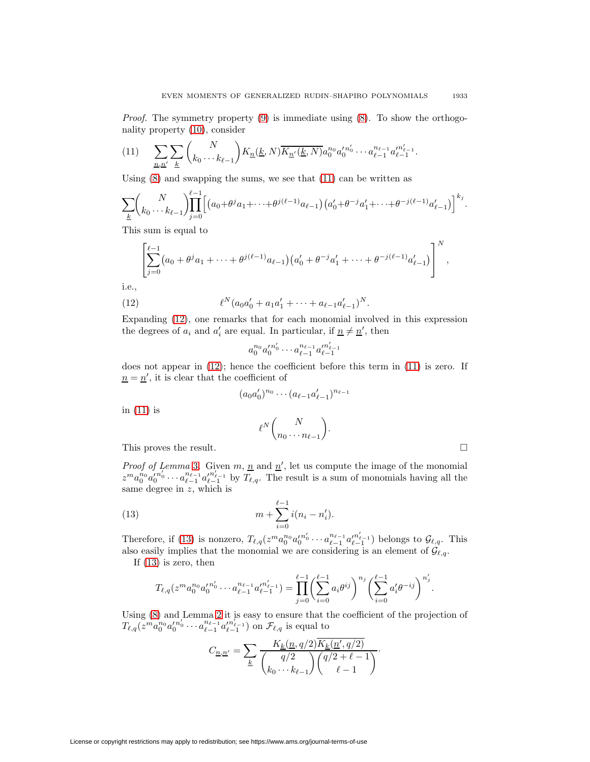*Proof.* The symmetry property  $(9)$  is immediate using  $(8)$ . To show the orthogonality property [\(10\)](#page-9-3), consider

<span id="page-10-0"></span>
$$
(11) \qquad \sum_{n,n'} \sum_{\underline{k}} \binom{N}{k_0 \cdots k_{\ell-1}} K_{\underline{n}}(\underline{k},N) \overline{K_{\underline{n}'}(\underline{k},N)} a_0^{n_0} a_0'^{n_0'} \cdots a_{\ell-1}^{n_{\ell-1}} a_{\ell-1}'^{n_{\ell-1}'}.
$$

Using [\(8\)](#page-9-2) and swapping the sums, we see that [\(11\)](#page-10-0) can be written as

$$
\sum_{\underline{k}} \binom{N}{k_0 \cdots k_{\ell-1}} \prod_{j=0}^{\ell-1} \Big[ \big( a_0 + \theta^j a_1 + \cdots + \theta^{j(\ell-1)} a_{\ell-1} \big) \big( a_0' + \theta^{-j} a_1' + \cdots + \theta^{-j(\ell-1)} a_{\ell-1}' \big) \Big]^{k_j}.
$$

This sum is equal to

$$
\left[\sum_{j=0}^{\ell-1} (a_0+\theta^j a_1+\cdots+\theta^{j(\ell-1)} a_{\ell-1})(a'_0+\theta^{-j}a'_1+\cdots+\theta^{-j(\ell-1)}a'_{\ell-1})\right]^N,
$$

<span id="page-10-1"></span>i.e.,

(12) 
$$
\ell^N(a_0a'_0 + a_1a'_1 + \cdots + a_{\ell-1}a'_{\ell-1})^N.
$$

Expanding [\(12\)](#page-10-1), one remarks that for each monomial involved in this expression the degrees of  $a_i$  and  $a'_i$  are equal. In particular, if  $\underline{n} \neq \underline{n}'$ , then

$$
a_0^{n_0}a_0^{\prime n_0^{\prime}}\cdots a_{\ell-1}^{n_{\ell-1}}a_{\ell-1}^{\prime n_{\ell-1}^{\prime}}
$$

does not appear in [\(12\)](#page-10-1); hence the coefficient before this term in [\(11\)](#page-10-0) is zero. If  $n = n'$ , it is clear that the coefficient of

$$
(a_0 a'_0)^{n_0} \cdots (a_{\ell-1} a'_{\ell-1})^{n_{\ell-1}}
$$

$$
\ell^N {N \choose n_0 \cdots n_{\ell-1}}.
$$

This proves the result.

in [\(11\)](#page-10-0) is

*Proof of Lemma* [3](#page-9-0). Given  $m, n$  and  $n'$ , let us compute the image of the monomial  $z^m a_0^{n_0} a_0'^{n_0'} \cdots a_{\ell-1}^{n_{\ell-1}} a_{\ell-1}'^{n_{\ell-1}'}$  by  $T_{\ell,q}$ . The result is a sum of monomials having all the same degree in z, which is

<span id="page-10-2"></span>(13) 
$$
m + \sum_{i=0}^{\ell-1} i(n_i - n'_i).
$$

Therefore, if [\(13\)](#page-10-2) is nonzero,  $T_{\ell,q}(z^m a_0^{n_0} a_0'^{n_0'} \cdots a_{\ell-1}^{n_{\ell-1}} a_{\ell-1}'^{n_{\ell-1}'}$  belongs to  $\mathcal{G}_{\ell,q}$ . This also easily implies that the monomial we are considering is an element of  $\mathcal{G}_{\ell,q}$ .

If [\(13\)](#page-10-2) is zero, then

$$
T_{\ell,q}(z^m a_0^{n_0} a_0'^{n_0'} \cdots a_{\ell-1}^{n_{\ell-1}} a_{\ell-1}'^{n_{\ell-1}'} ) = \prod_{j=0}^{\ell-1} \left( \sum_{i=0}^{\ell-1} a_i \theta^{ij} \right)^{n_j} \left( \sum_{i=0}^{\ell-1} a_i' \theta^{-ij} \right)^{n_j'}.
$$

Using [\(8\)](#page-9-2) and Lemma [2](#page-8-1) it is easy to ensure that the coefficient of the projection of  $T_{\ell,q}(\tilde{z}^{m} a_0^{n_0} a_0'^{n_0'} \cdots a_{\ell-1}^{n_{\ell-1}} a_{\ell-1}'^{n_{\ell-1'}})$  on  $\mathcal{F}_{\ell,q}$  is equal to

$$
C_{n,n'} = \sum_{k} \frac{K_k(n,q/2)K_k(n',q/2)}{\binom{q/2}{k_0 \cdots k_{\ell-1}} \binom{q/2+\ell-1}{\ell-1}}.
$$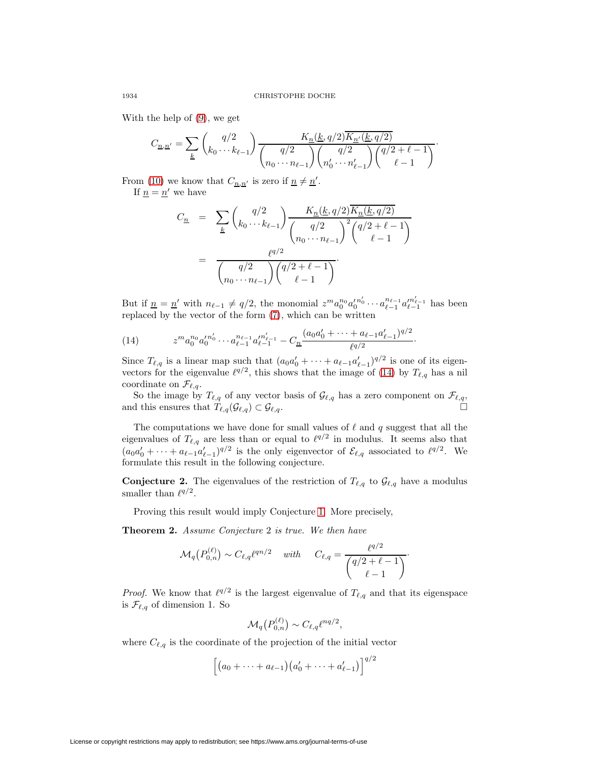With the help of [\(9\)](#page-9-1), we get

$$
C_{\underline{n},\underline{n}'} = \sum_{\underline{k}} \binom{q/2}{k_0 \cdots k_{\ell-1}} \frac{K_{\underline{n}}(\underline{k}, q/2) \overline{K_{\underline{n}'}(\underline{k}, q/2)}}{\binom{q/2}{n_0 \cdots n_{\ell-1}} \binom{q/2}{n'_0 \cdots n'_{\ell-1}} \binom{q/2 + \ell - 1}{\ell - 1}}.
$$

From [\(10\)](#page-9-3) we know that  $C_{n,n'}$  is zero if  $n \neq n'$ .

If  $n = n'$  we have

<span id="page-11-0"></span>
$$
C_{\underline{n}} = \sum_{\underline{k}} \binom{q/2}{k_0 \cdots k_{\ell-1}} \frac{K_{\underline{n}}(\underline{k}, q/2) \overline{K_{\underline{n}}(\underline{k}, q/2)}}{\binom{q/2}{n_0 \cdots n_{\ell-1}}^2} \binom{q/2 + \ell - 1}{\ell - 1}
$$

$$
= \frac{\ell^{q/2}}{\binom{q/2}{n_0 \cdots n_{\ell-1}} \binom{q/2 + \ell - 1}{\ell - 1}}.
$$

But if  $n = n'$  with  $n_{\ell-1} \neq q/2$ , the monomial  $z^m a_0^{n_0} a_0'^{n'_0} \cdots a_{\ell-1}^{n_{\ell-1}} a_{\ell-1}'^{n'_{\ell-1}}$  has been replaced by the vector of the form [\(7\)](#page-8-2), which can be written

(14) 
$$
z^m a_0^{n_0} a_0'^{n_0'} \cdots a_{\ell-1}^{n_{\ell-1}} a_{\ell-1}'^{n_{\ell-1}'} - C_{\underline{n}} \frac{(a_0 a_0' + \cdots + a_{\ell-1} a_{\ell-1}')^{q/2}}{\ell^{q/2}}.
$$

Since  $T_{\ell,q}$  is a linear map such that  $(a_0a'_0 + \cdots + a_{\ell-1}a'_{\ell-1})^{q/2}$  is one of its eigenvectors for the eigenvalue  $\ell^{q/2}$ , this shows that the image of [\(14\)](#page-11-0) by  $T_{\ell,q}$  has a nil coordinate on  $\mathcal{F}_{\ell,q}$ .

So the image by  $T_{\ell,q}$  of any vector basis of  $\mathcal{G}_{\ell,q}$  has a zero component on  $\mathcal{F}_{\ell,q}$ , and this ensures that  $T_{\ell,q}(\mathcal{G}_{\ell,q}) \subset \mathcal{G}_{\ell}$  $, q$ .

The computations we have done for small values of  $\ell$  and q suggest that all the eigenvalues of  $T_{\ell,q}$  are less than or equal to  $\ell^{q/2}$  in modulus. It seems also that  $(a_0a'_0 + \cdots + a_{\ell-1}a'_{\ell-1})^{q/2}$  is the only eigenvector of  $\mathcal{E}_{\ell,q}$  associated to  $\ell^{q/2}$ . We formulate this result in the following conjecture.

**Conjecture 2.** The eigenvalues of the restriction of  $T_{\ell,q}$  to  $\mathcal{G}_{\ell,q}$  have a modulus smaller than  $\ell^{q/2}$ .

Proving this result would imply Conjecture [1.](#page-1-1) More precisely,

**Theorem 2.** Assume Conjecture 2 is true. We then have

$$
\mathcal{M}_q(P_{0,n}^{(\ell)}) \sim C_{\ell,q} \ell^{qn/2} \quad \text{ with } \quad C_{\ell,q} = \frac{\ell^{q/2}}{\binom{q/2+\ell-1}{\ell-1}}.
$$

*Proof.* We know that  $\ell^{q/2}$  is the largest eigenvalue of  $T_{\ell,q}$  and that its eigenspace is  $\mathcal{F}_{\ell,q}$  of dimension 1. So

$$
\mathcal{M}_q\big(P_{0,n}^{(\ell)}\big) \sim C_{\ell,q} \ell^{nq/2},
$$

where  $C_{\ell,q}$  is the coordinate of the projection of the initial vector

$$
\[ (a_0 + \cdots + a_{\ell-1}) (a'_0 + \cdots + a'_{\ell-1}) \]^{q/2}
$$